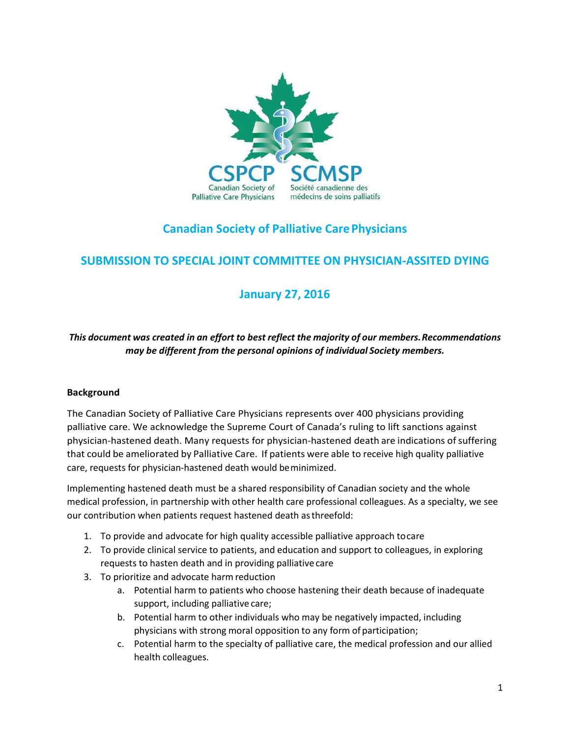

# **Canadian Society of Palliative CarePhysicians**

# **SUBMISSION TO SPECIAL JOINT COMMITTEE ON PHYSICIAN-ASSITED DYING**

# **January 27, 2016**

# *This document was created in an effort to best reflect the majority of our members.Recommendations may be different from the personal opinions of individual Society members.*

#### **Background**

The Canadian Society of Palliative Care Physicians represents over 400 physicians providing palliative care. We acknowledge the Supreme Court of Canada's ruling to lift sanctions against physician-hastened death. Many requests for physician-hastened death are indications of suffering that could be ameliorated by Palliative Care. If patients were able to receive high quality palliative care, requests for physician-hastened death would beminimized.

Implementing hastened death must be a shared responsibility of Canadian society and the whole medical profession, in partnership with other health care professional colleagues. As a specialty, we see our contribution when patients request hastened death asthreefold:

- 1. To provide and advocate for high quality accessible palliative approach tocare
- 2. To provide clinical service to patients, and education and support to colleagues, in exploring requests to hasten death and in providing palliative care
- 3. To prioritize and advocate harm reduction
	- a. Potential harm to patients who choose hastening their death because of inadequate support, including palliative care;
	- b. Potential harm to other individuals who may be negatively impacted, including physicians with strong moral opposition to any form of participation;
	- c. Potential harm to the specialty of palliative care, the medical profession and our allied health colleagues.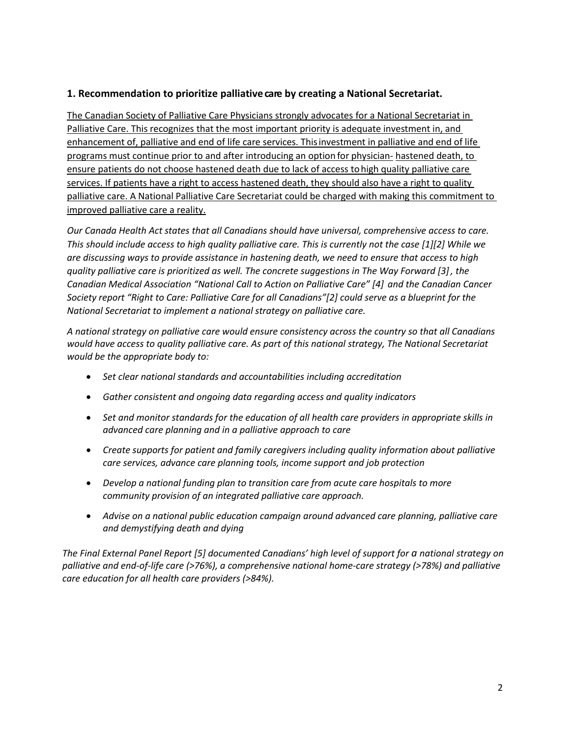#### **1.** Recommendation to prioritize palliative care by creating a National Secretariat.

The Canadian Society of Palliative Care Physicians strongly advocates for a National Secretariat in Palliative Care. This recognizes that the most important priority is adequate investment in, and enhancement of, palliative and end of life care services. Thisinvestment in palliative and end of life programs must continue prior to and after introducing an option for physician- hastened death, to ensure patients do not choose hastened death due to lack of access tohigh quality palliative care services. If patients have a right to access hastened death, they should also have a right to quality palliative care. A National Palliative Care Secretariat could be charged with making this commitment to improved palliative care a reality.

*Our Canada Health Act states that all Canadians should have universal, comprehensive access to care. This should include access to high quality palliative care. This is currently not the case [1][2] While we are discussing ways to provide assistance in hastening death, we need to ensure that access to high quality palliative care is prioritized as well. The concrete suggestions in The Way Forward [3], the Canadian Medical Association "National Call to Action on Palliative Care" [4] and the Canadian Cancer Society report "Right to Care: Palliative Care for all Canadians"[2] could serve as a blueprint for the National Secretariat to implement a national strategy on palliative care.*

*A national strategy on palliative care would ensure consistency across the country so that all Canadians would have access to quality palliative care. As part of this national strategy, The National Secretariat would be the appropriate body to:*

- *Set clear national standards and accountabilities including accreditation*
- *Gather consistent and ongoing data regarding access and quality indicators*
- *Set and monitor standards for the education of all health care providers in appropriate skills in advanced care planning and in a palliative approach to care*
- *Create supports for patient and family caregivers including quality information about palliative care services, advance care planning tools, income support and job protection*
- *Develop a national funding plan to transition care from acute care hospitals to more community provision of an integrated palliative care approach.*
- *Advise on a national public education campaign around advanced care planning, palliative care and demystifying death and dying*

*The Final External Panel Report [5] documented Canadians' high level of support for a national strategy on palliative and end-of-life care (>76%), a comprehensive national home-care strategy (>78%) and palliative care education for all health care providers (>84%).*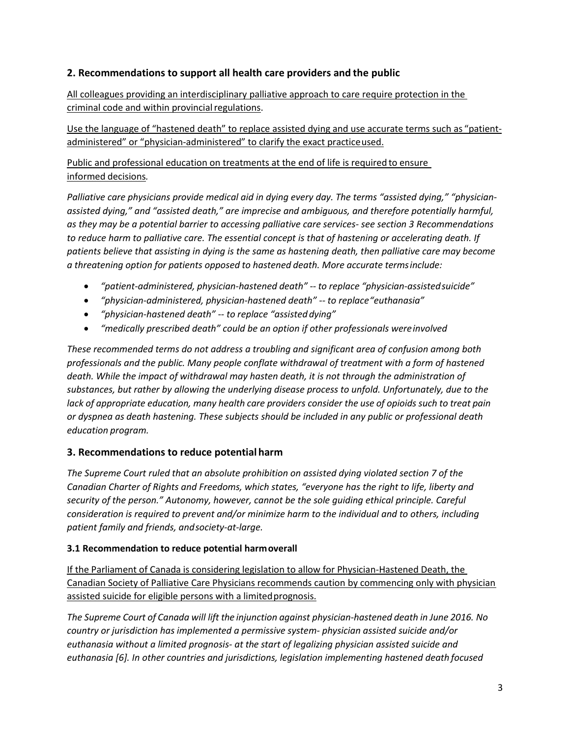## **2. Recommendations to support all health care providers and the public**

All colleagues providing an interdisciplinary palliative approach to care require protection in the criminal code and within provincial regulations.

Use the language of "hastened death" to replace assisted dying and use accurate terms such as "patientadministered" or "physician-administered" to clarify the exact practiceused.

Public and professional education on treatments at the end of life is required to ensure informed decisions*.*

Palliative care physicians provide medical aid in dying every day. The terms "assisted dying," "physician*assisted dying," and "assisted death," are imprecise and ambiguous, and therefore potentially harmful, as they may be a potential barrier to accessing palliative care services- see section 3 Recommendations to reduce harm to palliative care. The essential concept is that of hastening or accelerating death. If patients believe that assisting in dying is the same as hastening death, then palliative care may become a threatening option for patients opposed to hastened death. More accurate termsinclude:*

- *"patient-administered, physician-hastened death" -- to replace "physician-assistedsuicide"*
- *"physician-administered, physician-hastened death" -- to replace"euthanasia"*
- *"physician-hastened death" -- to replace "assisteddying"*
- *"medically prescribed death" could be an option if other professionals wereinvolved*

*These recommended terms do not address a troubling and significant area of confusion among both professionals and the public. Many people conflate withdrawal of treatment with a form of hastened death. While the impact of withdrawal may hasten death, it is not through the administration of substances, but rather by allowing the underlying disease process to unfold. Unfortunately, due to the lack of appropriate education, many health care providers consider the use of opioids such to treat pain or dyspnea as death hastening. These subjects should be included in any public or professional death education program.*

## **3. Recommendations to reduce potential harm**

*The Supreme Court ruled that an absolute prohibition on assisted dying violated section 7 of the Canadian Charter of Rights and Freedoms, which states, "everyone has the right to life, liberty and security of the person." Autonomy, however, cannot be the sole guiding ethical principle. Careful consideration is required to prevent and/or minimize harm to the individual and to others, including patient family and friends, andsociety-at-large.*

## **3.1 Recommendation to reduce potential harmoverall**

If the Parliament of Canada is considering legislation to allow for Physician-Hastened Death, the Canadian Society of Palliative Care Physicians recommends caution by commencing only with physician assisted suicide for eligible persons with a limited prognosis.

*The Supreme Court of Canada will lift the injunction against physician-hastened death in June 2016. No country or jurisdiction has implemented a permissive system- physician assisted suicide and/or euthanasia without a limited prognosis- at the start of legalizing physician assisted suicide and euthanasia [6]. In other countries and jurisdictions, legislation implementing hastened death focused*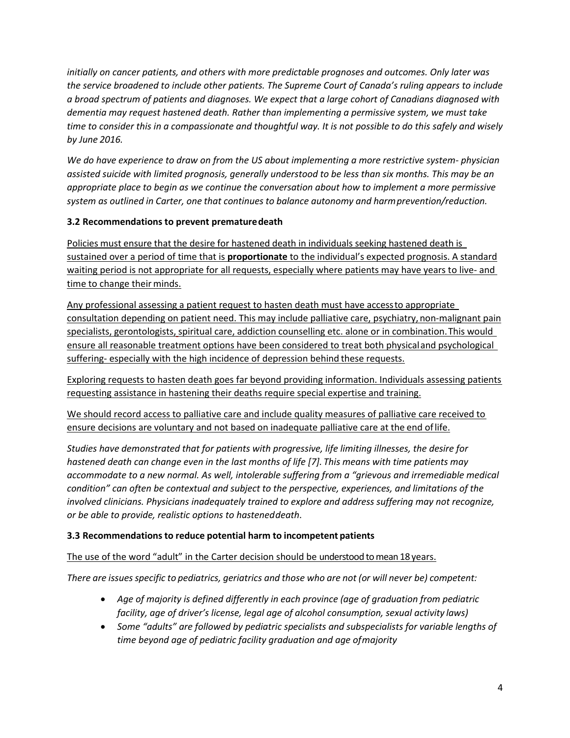*initially on cancer patients, and others with more predictable prognoses and outcomes. Only later was the service broadened to include other patients. The Supreme Court of Canada's ruling appears to include a broad spectrum of patients and diagnoses. We expect that a large cohort of Canadians diagnosed with dementia may request hastened death. Rather than implementing a permissive system, we must take time to consider this in a compassionate and thoughtful way. It is not possible to do this safely and wisely by June 2016.*

*We do have experience to draw on from the US about implementing a more restrictive system- physician assisted suicide with limited prognosis, generally understood to be less than six months. This may be an appropriate place to begin as we continue the conversation about how to implement a more permissive system as outlined in Carter, one that continues to balance autonomy and harmprevention/reduction.*

## **3.2 Recommendations to prevent prematuredeath**

Policies must ensure that the desire for hastened death in individuals seeking hastened death is sustained over a period of time that is **proportionate** to the individual's expected prognosis. A standard waiting period is not appropriate for all requests, especially where patients may have years to live- and time to change their minds.

Any professional assessing a patient request to hasten death must have accessto appropriate consultation depending on patient need. This may include palliative care, psychiatry, non-malignant pain specialists, gerontologists, spiritual care, addiction counselling etc. alone or in combination.This would ensure all reasonable treatment options have been considered to treat both physicaland psychological suffering- especially with the high incidence of depression behind these requests.

Exploring requests to hasten death goes far beyond providing information. Individuals assessing patients requesting assistance in hastening their deaths require special expertise and training.

We should record access to palliative care and include quality measures of palliative care received to ensure decisions are voluntary and not based on inadequate palliative care at the end oflife.

*Studies have demonstrated that for patients with progressive, life limiting illnesses, the desire for hastened death can change even in the last months of life [7]. This means with time patients may accommodate to a new normal. As well, intolerable suffering from a "grievous and irremediable medical condition" can often be contextual and subject to the perspective, experiences, and limitations of the involved clinicians. Physicians inadequately trained to explore and address suffering may not recognize, or be able to provide, realistic options to hasteneddeath*.

## **3.3 Recommendations to reduce potential harm to incompetent patients**

The use of the word "adult" in the Carter decision should be understood tomean 18years.

*There are issues specific to pediatrics, geriatrics and those who are not (or will never be) competent:*

- *Age of majority is defined differently in each province (age of graduation from pediatric facility, age of driver's license, legal age of alcohol consumption, sexual activity laws)*
- *Some "adults" are followed by pediatric specialists and subspecialists for variable lengths of time beyond age of pediatric facility graduation and age ofmajority*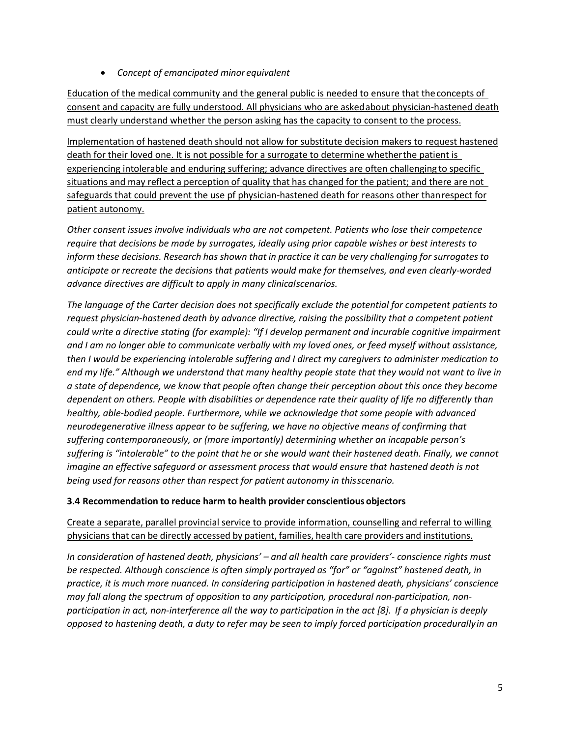*Concept of emancipated minor equivalent*

Education of the medical community and the general public is needed to ensure that theconcepts of consent and capacity are fully understood. All physicians who are askedabout physician-hastened death must clearly understand whether the person asking has the capacity to consent to the process.

Implementation of hastened death should not allow for substitute decision makers to request hastened death for their loved one. It is not possible for a surrogate to determine whetherthe patient is experiencing intolerable and enduring suffering; advance directives are often challenging to specific situations and may reflect a perception of quality that has changed for the patient; and there are not safeguards that could prevent the use pf physician-hastened death for reasons other thanrespect for patient autonomy.

*Other consent issues involve individuals who are not competent. Patients who lose their competence require that decisions be made by surrogates, ideally using prior capable wishes or best interests to inform these decisions. Research has shown that in practice it can be very challenging for surrogates to anticipate or recreate the decisions that patients would make for themselves, and even clearly-worded advance directives are difficult to apply in many clinicalscenarios.*

*The language of the Carter decision does not specifically exclude the potential for competent patients to request physician-hastened death by advance directive, raising the possibility that a competent patient could write a directive stating (for example): "If I develop permanent and incurable cognitive impairment and I am no longer able to communicate verbally with my loved ones, or feed myself without assistance, then I would be experiencing intolerable suffering and I direct my caregivers to administer medication to end my life." Although we understand that many healthy people state that they would not want to live in a state of dependence, we know that people often change their perception about this once they become dependent on others. People with disabilities or dependence rate their quality of life no differently than healthy, able-bodied people. Furthermore, while we acknowledge that some people with advanced neurodegenerative illness appear to be suffering, we have no objective means of confirming that suffering contemporaneously, or (more importantly) determining whether an incapable person's suffering is "intolerable" to the point that he or she would want their hastened death. Finally, we cannot imagine an effective safeguard or assessment process that would ensure that hastened death is not being used for reasons other than respect for patient autonomy in thisscenario.*

#### **3.4 Recommendation to reduce harm to health provider conscientious objectors**

## Create a separate, parallel provincial service to provide information, counselling and referral to willing physicians that can be directly accessed by patient, families, health care providers and institutions.

*In consideration of hastened death, physicians' – and all health care providers'- conscience rights must be respected. Although conscience is often simply portrayed as "for" or "against" hastened death, in practice, it is much more nuanced. In considering participation in hastened death, physicians' conscience may fall along the spectrum of opposition to any participation, procedural non-participation, nonparticipation in act, non-interference all the way to participation in the act [8]. If a physician is deeply opposed to hastening death, a duty to refer may be seen to imply forced participation procedurallyin an*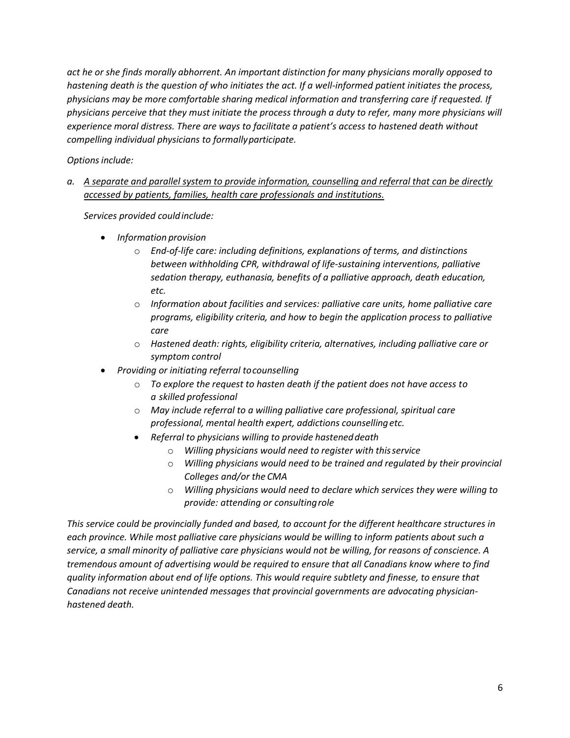*act he or she finds morally abhorrent. An important distinction for many physicians morally opposed to hastening death is the question of who initiates the act. If a well-informed patient initiates the process, physicians may be more comfortable sharing medical information and transferring care if requested. If physicians perceive that they must initiate the process through a duty to refer, many more physicians will experience moral distress. There are ways to facilitate a patient's access to hastened death without compelling individual physicians to formallyparticipate.*

*Optionsinclude:*

*a. A separate and parallel system to provide information, counselling and referral that can be directly accessed by patients, families, health care professionals and institutions.*

*Services provided couldinclude:*

- *Information provision*
	- o *End-of-life care: including definitions, explanations of terms, and distinctions between withholding CPR, withdrawal of life-sustaining interventions, palliative sedation therapy, euthanasia, benefits of a palliative approach, death education, etc.*
	- o *Information about facilities and services: palliative care units, home palliative care programs, eligibility criteria, and how to begin the application process to palliative care*
	- o *Hastened death: rights, eligibility criteria, alternatives, including palliative care or symptom control*
- *Providing or initiating referral tocounselling*
	- o *To explore the request to hasten death if the patient does not have access to a skilled professional*
	- o *May include referral to a willing palliative care professional, spiritual care professional, mental health expert, addictions counsellingetc.*
	- *Referral to physicians willing to provide hasteneddeath*
		- o *Willing physicians would need to register with thisservice*
		- o *Willing physicians would need to be trained and regulated by their provincial Colleges and/or the CMA*
		- o *Willing physicians would need to declare which services they were willing to provide: attending or consultingrole*

*This service could be provincially funded and based, to account for the different healthcare structures in each province. While most palliative care physicians would be willing to inform patients about such a service, a small minority of palliative care physicians would not be willing, for reasons of conscience. A tremendous amount of advertising would be required to ensure that all Canadians know where to find quality information about end of life options. This would require subtlety and finesse, to ensure that Canadians not receive unintended messages that provincial governments are advocating physicianhastened death.*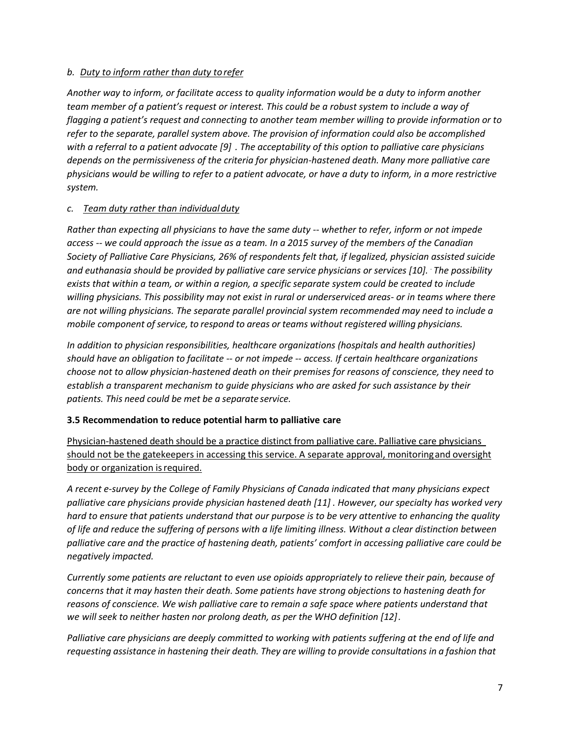#### *b. Duty to inform rather than duty torefer*

*Another way to inform, or facilitate access to quality information would be a duty to inform another team member of a patient's request or interest. This could be a robust system to include a way of flagging a patient's request and connecting to another team member willing to provide information or to refer to the separate, parallel system above. The provision of information could also be accomplished with a referral to a patient advocate [9] . The acceptability of this option to palliative care physicians depends on the permissiveness of the criteria for physician-hastened death. Many more palliative care physicians would be willing to refer to a patient advocate, or have a duty to inform, in a more restrictive system.*

#### *c. Team duty rather than individualduty*

*Rather than expecting all physicians to have the same duty -- whether to refer, inform or not impede access -- we could approach the issue as a team. In a 2015 survey of the members of the Canadian Society of Palliative Care Physicians, 26% of respondents felt that, if legalized, physician assisted suicide and euthanasia should be provided by palliative care service physicians or services [10]. . The possibility exists that within a team, or within a region, a specific separate system could be created to include willing physicians. This possibility may not exist in rural or underserviced areas- or in teams where there are not willing physicians. The separate parallel provincial system recommended may need to include a mobile component of service, to respond to areas or teams without registered willing physicians.*

*In addition to physician responsibilities, healthcare organizations (hospitals and health authorities) should have an obligation to facilitate -- or not impede -- access. If certain healthcare organizations choose not to allow physician-hastened death on their premises for reasons of conscience, they need to establish a transparent mechanism to guide physicians who are asked for such assistance by their patients. This need could be met be a separate service.*

#### **3.5 Recommendation to reduce potential harm to palliative care**

Physician-hastened death should be a practice distinct from palliative care. Palliative care physicians should not be the gatekeepers in accessing this service. A separate approval, monitoringand oversight body or organization is required.

*A recent e-survey by the College of Family Physicians of Canada indicated that many physicians expect palliative care physicians provide physician hastened death [11] . However, our specialty has worked very hard to ensure that patients understand that our purpose is to be very attentive to enhancing the quality of life and reduce the suffering of persons with a life limiting illness. Without a clear distinction between palliative care and the practice of hastening death, patients' comfort in accessing palliative care could be negatively impacted.*

*Currently some patients are reluctant to even use opioids appropriately to relieve their pain, because of concerns that it may hasten their death. Some patients have strong objections to hastening death for reasons of conscience. We wish palliative care to remain a safe space where patients understand that we will seek to neither hasten nor prolong death, as per the WHO definition [12].*

*Palliative care physicians are deeply committed to working with patients suffering at the end of life and requesting assistance in hastening their death. They are willing to provide consultations in a fashion that*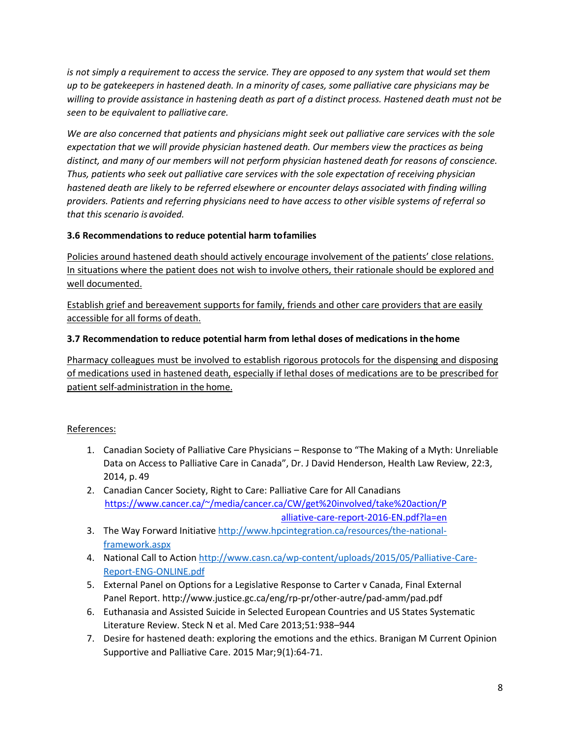*is not simply a requirement to access the service. They are opposed to any system that would set them up to be gatekeepers in hastened death. In a minority of cases, some palliative care physicians may be willing to provide assistance in hastening death as part of a distinct process. Hastened death must not be seen to be equivalent to palliative care.*

*We are also concerned that patients and physicians might seek out palliative care services with the sole expectation that we will provide physician hastened death. Our members view the practices as being distinct, and many of our members will not perform physician hastened death for reasons of conscience. Thus, patients who seek out palliative care services with the sole expectation of receiving physician hastened death are likely to be referred elsewhere or encounter delays associated with finding willing providers. Patients and referring physicians need to have access to other visible systems of referral so that this scenario is avoided.*

## **3.6 Recommendations to reduce potential harm tofamilies**

Policies around hastened death should actively encourage involvement of the patients' close relations. In situations where the patient does not wish to involve others, their rationale should be explored and well documented.

Establish grief and bereavement supports for family, friends and other care providers that are easily accessible for all forms of death.

## **3.7 Recommendation to reduce potential harm from lethal doses of medications in thehome**

Pharmacy colleagues must be involved to establish rigorous protocols for the dispensing and disposing of medications used in hastened death, especially if lethal doses of medications are to be prescribed for patient self-administration in the home.

## References:

- 1. Canadian Society of Palliative Care Physicians Response to "The Making of a Myth: Unreliable Data on Access to Palliative Care in Canada", Dr. J David Henderson, Health Law Review, 22:3, 2014, p. 49
- 2. Canadian Cancer Society, Right to Care: Palliative Care for All Canadians [https://www.cancer.ca/~/media/cancer.ca/CW/get%20involved/take%20action/P](https://www.cancer.ca/~/media/cancer.ca/CW/get%20involved/take%20action/Palliative-care-report-2016-EN.pdf?la=en) [alliative-care-report-2016-EN.pdf?la=en](https://www.cancer.ca/~/media/cancer.ca/CW/get%20involved/take%20action/Palliative-care-report-2016-EN.pdf?la=en)
- 3. The Way Forward Initiativ[e http://www.hpcintegration.ca/resources/the-national](http://www.hpcintegration.ca/resources/the-national-framework.aspx)[framework.aspx](http://www.hpcintegration.ca/resources/the-national-framework.aspx)
- 4. National Call to Actio[n http://www.casn.ca/wp-content/uploads/2015/05/Palliative-Care-](http://www.casn.ca/wp-content/uploads/2015/05/Palliative-Care-Report-ENG-ONLINE.pdf)[Report-ENG-ONLINE.pdf](http://www.casn.ca/wp-content/uploads/2015/05/Palliative-Care-Report-ENG-ONLINE.pdf)
- 5. External Panel on Options for a Legislative Response to Carter v Canada, Final External Panel Report. http://www.justice.gc.ca/eng/rp-pr/other-autre/pad-amm/pad.pdf
- 6. Euthanasia and Assisted Suicide in Selected European Countries and US States Systematic Literature Review. Steck N et al. Med Care 2013;51:938–944
- 7. Desire for hastened death: exploring the emotions and the ethics. Branigan M Current Opinion Supportive and Palliative Care. 2015 Mar;9(1):64-71.